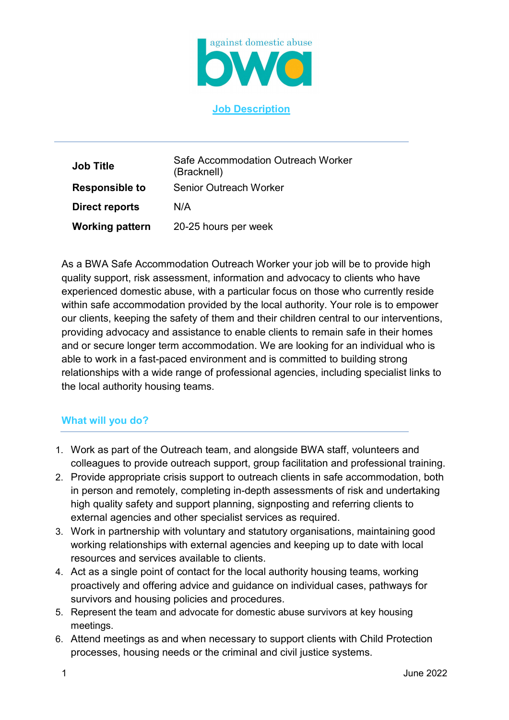

**Job Description**

| <b>Job Title</b>       | Safe Accommodation Outreach Worker<br>(Bracknell) |
|------------------------|---------------------------------------------------|
| <b>Responsible to</b>  | <b>Senior Outreach Worker</b>                     |
| <b>Direct reports</b>  | N/A                                               |
| <b>Working pattern</b> | 20-25 hours per week                              |

As a BWA Safe Accommodation Outreach Worker your job will be to provide high quality support, risk assessment, information and advocacy to clients who have experienced domestic abuse, with a particular focus on those who currently reside within safe accommodation provided by the local authority. Your role is to empower our clients, keeping the safety of them and their children central to our interventions, providing advocacy and assistance to enable clients to remain safe in their homes and or secure longer term accommodation. We are looking for an individual who is able to work in a fast-paced environment and is committed to building strong relationships with a wide range of professional agencies, including specialist links to the local authority housing teams.

## **What will you do?**

- 1. Work as part of the Outreach team, and alongside BWA staff, volunteers and colleagues to provide outreach support, group facilitation and professional training.
- 2. Provide appropriate crisis support to outreach clients in safe accommodation, both in person and remotely, completing in-depth assessments of risk and undertaking high quality safety and support planning, signposting and referring clients to external agencies and other specialist services as required.
- 3. Work in partnership with voluntary and statutory organisations, maintaining good working relationships with external agencies and keeping up to date with local resources and services available to clients.
- 4. Act as a single point of contact for the local authority housing teams, working proactively and offering advice and guidance on individual cases, pathways for survivors and housing policies and procedures.
- 5. Represent the team and advocate for domestic abuse survivors at key housing meetings.
- 6. Attend meetings as and when necessary to support clients with Child Protection processes, housing needs or the criminal and civil justice systems.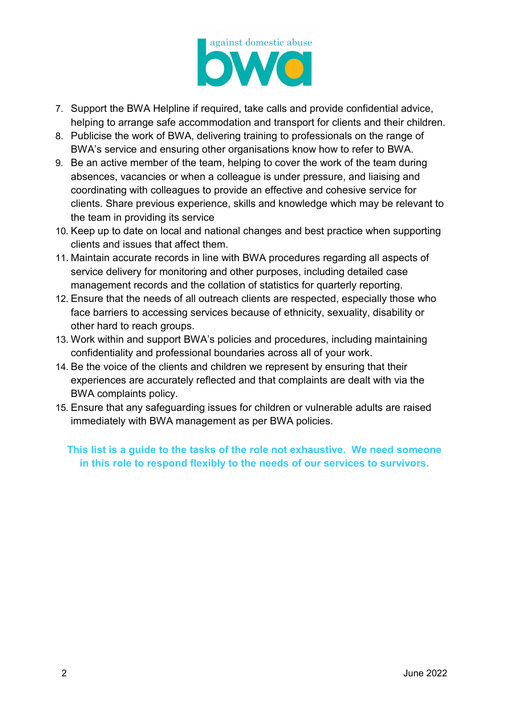

- 7. Support the BWA Helpline if required, take calls and provide confidential advice, helping to arrange safe accommodation and transport for clients and their children.
- 8. Publicise the work of BWA, delivering training to professionals on the range of BWA's service and ensuring other organisations know how to refer to BWA.
- 9. Be an active member of the team, helping to cover the work of the team during absences, vacancies or when a colleague is under pressure, and liaising and coordinating with colleagues to provide an effective and cohesive service for clients. Share previous experience, skills and knowledge which may be relevant to the team in providing its service
- 10. Keep up to date on local and national changes and best practice when supporting clients and issues that affect them.
- 11. Maintain accurate records in line with BWA procedures regarding all aspects of service delivery for monitoring and other purposes, including detailed case management records and the collation of statistics for quarterly reporting.
- 12. Ensure that the needs of all outreach clients are respected, especially those who face barriers to accessing services because of ethnicity, sexuality, disability or other hard to reach groups.
- 13. Work within and support BWA's policies and procedures, including maintaining confidentiality and professional boundaries across all of your work.
- 14. Be the voice of the clients and children we represent by ensuring that their experiences are accurately reflected and that complaints are dealt with via the BWA complaints policy.
- 15. Ensure that any safeguarding issues for children or vulnerable adults are raised immediately with BWA management as per BWA policies.

## **This list is a guide to the tasks of the role not exhaustive. We need someone in this role to respond flexibly to the needs of our services to survivors.**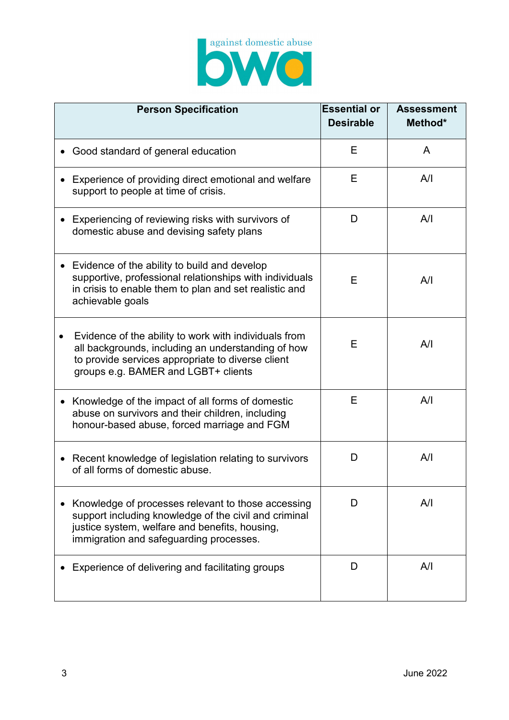

| <b>Person Specification</b>                                                                                                                                                                              | <b>Essential or</b><br><b>Desirable</b> | <b>Assessment</b><br>Method* |
|----------------------------------------------------------------------------------------------------------------------------------------------------------------------------------------------------------|-----------------------------------------|------------------------------|
| Good standard of general education                                                                                                                                                                       | Е                                       | A                            |
| Experience of providing direct emotional and welfare<br>support to people at time of crisis.                                                                                                             | Е                                       | A/I                          |
| Experiencing of reviewing risks with survivors of<br>domestic abuse and devising safety plans                                                                                                            | D                                       | A/I                          |
| Evidence of the ability to build and develop<br>supportive, professional relationships with individuals<br>in crisis to enable them to plan and set realistic and<br>achievable goals                    | Е                                       | A/I                          |
| Evidence of the ability to work with individuals from<br>all backgrounds, including an understanding of how<br>to provide services appropriate to diverse client<br>groups e.g. BAMER and LGBT+ clients  | E                                       | A/I                          |
| Knowledge of the impact of all forms of domestic<br>$\bullet$<br>abuse on survivors and their children, including<br>honour-based abuse, forced marriage and FGM                                         | Е                                       | A/I                          |
| Recent knowledge of legislation relating to survivors<br>$\bullet$<br>of all forms of domestic abuse.                                                                                                    | D                                       | A/I                          |
| Knowledge of processes relevant to those accessing<br>support including knowledge of the civil and criminal<br>justice system, welfare and benefits, housing,<br>immigration and safeguarding processes. | I)                                      | A/I                          |
| Experience of delivering and facilitating groups                                                                                                                                                         | D                                       | A/I                          |